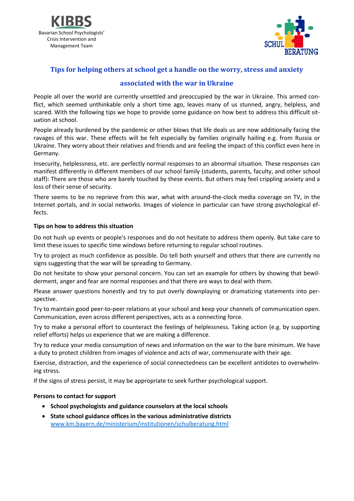



# **Tips for helping others at school get a handle on the worry, stress and anxiety**

## **associated with the war in Ukraine**

People all over the world are currently unsettled and preoccupied by the war in Ukraine. This armed conflict, which seemed unthinkable only a short time ago, leaves many of us stunned, angry, helpless, and scared. With the following tips we hope to provide some guidance on how best to address this difficult situation at school.

People already burdened by the pandemic or other blows that life deals us are now additionally facing the ravages of this war. These effects will be felt especially by families originally hailing e.g. from Russia or Ukraine. They worry about their relatives and friends and are feeling the impact of this conflict even here in Germany.

Insecurity, helplessness, etc. are perfectly normal responses to an abnormal situation. These responses can manifest differently in different members of our school family (students, parents, faculty, and other school staff): There are those who are barely touched by these events. But others may feel crippling anxiety and a loss of their sense of security.

There seems to be no reprieve from this war, what with around-the-clock media coverage on TV, in the Internet portals, and in social networks. Images of violence in particular can have strong psychological effects.

#### **Tips on how to address this situation**

Do not hush up events or people's responses and do not hesitate to address them openly. But take care to limit these issues to specific time windows before returning to regular school routines.

Try to project as much confidence as possible. Do tell both yourself and others that there are currently no signs suggesting that the war will be spreading to Germany.

Do not hesitate to show your personal concern. You can set an example for others by showing that bewilderment, anger and fear are normal responses and that there are ways to deal with them.

Please answer questions honestly and try to put overly downplaying or dramatizing statements into perspective.

Try to maintain good peer-to-peer relations at your school and keep your channels of communication open. Communication, even across different perspectives, acts as a connecting force.

Try to make a personal effort to counteract the feelings of helplessness. Taking action (e.g. by supporting relief efforts) helps us experience that we are making a difference.

Try to reduce your media consumption of news and information on the war to the bare minimum. We have a duty to protect children from images of violence and acts of war, commensurate with their age.

Exercise, distraction, and the experience of social connectedness can be excellent antidotes to overwhelming stress.

If the signs of stress persist, it may be appropriate to seek further psychological support.

#### **Persons to contact for support**

- **•** School psychologists and guidance counselors at the local schools
- **State school guidance offices in the various administrative districts** [www.km.bayern.de/ministerium/institutionen/schulberatung.html](http://www.km.bayern.de/ministerium/institutionen/schulberatung.html)